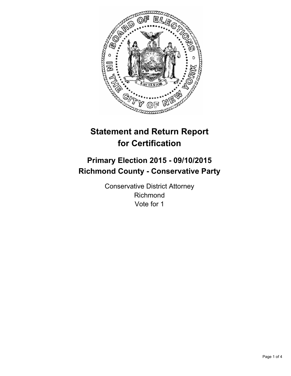

# **Statement and Return Report for Certification**

# **Primary Election 2015 - 09/10/2015 Richmond County - Conservative Party**

Conservative District Attorney Richmond Vote for 1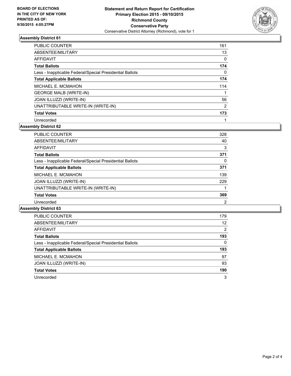

## **Assembly District 61**

| <b>PUBLIC COUNTER</b>                                    | 161            |
|----------------------------------------------------------|----------------|
| ABSENTEE/MILITARY                                        | 13             |
| AFFIDAVIT                                                | 0              |
| <b>Total Ballots</b>                                     | 174            |
| Less - Inapplicable Federal/Special Presidential Ballots | 0              |
| <b>Total Applicable Ballots</b>                          | 174            |
| MICHAEL E. MCMAHON                                       | 114            |
| <b>GEORGE MALB (WRITE-IN)</b>                            |                |
| <b>JOAN ILLUZZI (WRITE-IN)</b>                           | 56             |
| UNATTRIBUTABLE WRITE-IN (WRITE-IN)                       | $\overline{2}$ |
| <b>Total Votes</b>                                       | 173            |
| Unrecorded                                               |                |

#### **Assembly District 62**

| <b>PUBLIC COUNTER</b>                                    | 328 |
|----------------------------------------------------------|-----|
| ABSENTEE/MILITARY                                        | 40  |
| AFFIDAVIT                                                | 3   |
| <b>Total Ballots</b>                                     | 371 |
| Less - Inapplicable Federal/Special Presidential Ballots | 0   |
| <b>Total Applicable Ballots</b>                          | 371 |
| MICHAEL E. MCMAHON                                       | 139 |
| JOAN ILLUZZI (WRITE-IN)                                  | 229 |
| UNATTRIBUTABLE WRITE-IN (WRITE-IN)                       |     |
| <b>Total Votes</b>                                       | 369 |
| Unrecorded                                               | 2   |

### **Assembly District 63**

| <b>PUBLIC COUNTER</b>                                    | 179 |
|----------------------------------------------------------|-----|
| ABSENTEE/MILITARY                                        | 12  |
| AFFIDAVIT                                                | 2   |
| <b>Total Ballots</b>                                     | 193 |
| Less - Inapplicable Federal/Special Presidential Ballots | 0   |
| <b>Total Applicable Ballots</b>                          | 193 |
| MICHAEL E. MCMAHON                                       | 97  |
| <b>JOAN ILLUZZI (WRITE-IN)</b>                           | 93  |
| <b>Total Votes</b>                                       | 190 |
| Unrecorded                                               | 3   |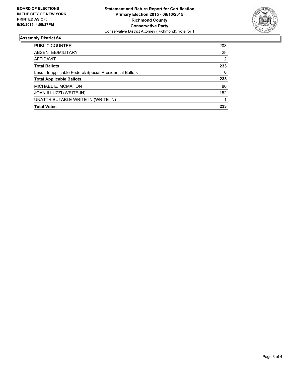

### **Assembly District 64**

| <b>PUBLIC COUNTER</b>                                    | 203 |
|----------------------------------------------------------|-----|
| ABSENTEE/MILITARY                                        | 28  |
| AFFIDAVIT                                                | 2   |
| <b>Total Ballots</b>                                     | 233 |
| Less - Inapplicable Federal/Special Presidential Ballots | 0   |
| <b>Total Applicable Ballots</b>                          | 233 |
| MICHAEL E. MCMAHON                                       | 80  |
| JOAN ILLUZZI (WRITE-IN)                                  | 152 |
| UNATTRIBUTABLE WRITE-IN (WRITE-IN)                       |     |
| <b>Total Votes</b>                                       | 233 |